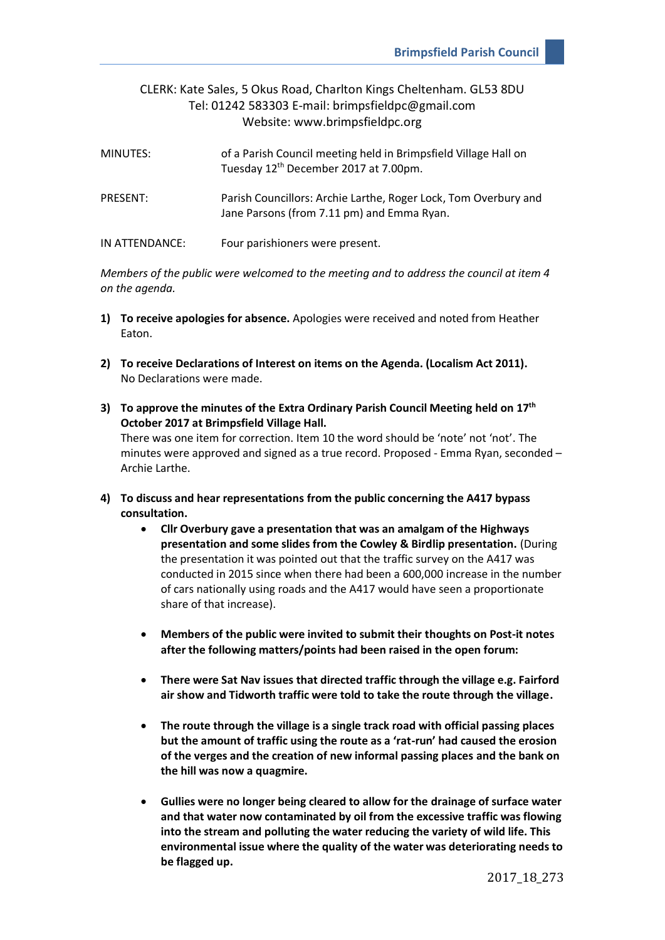## CLERK: Kate Sales, 5 Okus Road, Charlton Kings Cheltenham. GL53 8DU Tel: 01242 583303 E-mail: brimpsfieldpc@gmail.com Website: www.brimpsfieldpc.org

| MINUTES:       | of a Parish Council meeting held in Brimpsfield Village Hall on<br>Tuesday 12 <sup>th</sup> December 2017 at 7.00pm. |
|----------------|----------------------------------------------------------------------------------------------------------------------|
| PRESENT:       | Parish Councillors: Archie Larthe, Roger Lock, Tom Overbury and<br>Jane Parsons (from 7.11 pm) and Emma Ryan.        |
| IN ATTENDANCE: | Four parishioners were present.                                                                                      |

*Members of the public were welcomed to the meeting and to address the council at item 4 on the agenda.*

- **1) To receive apologies for absence.** Apologies were received and noted from Heather Eaton.
- **2) To receive Declarations of Interest on items on the Agenda. (Localism Act 2011).** No Declarations were made.
- **3) To approve the minutes of the Extra Ordinary Parish Council Meeting held on 17th October 2017 at Brimpsfield Village Hall.** There was one item for correction. Item 10 the word should be 'note' not 'not'. The minutes were approved and signed as a true record. Proposed - Emma Ryan, seconded – Archie Larthe.
- **4) To discuss and hear representations from the public concerning the A417 bypass consultation.**
	- **Cllr Overbury gave a presentation that was an amalgam of the Highways presentation and some slides from the Cowley & Birdlip presentation.** (During the presentation it was pointed out that the traffic survey on the A417 was conducted in 2015 since when there had been a 600,000 increase in the number of cars nationally using roads and the A417 would have seen a proportionate share of that increase).
	- **Members of the public were invited to submit their thoughts on Post-it notes after the following matters/points had been raised in the open forum:**
	- **There were Sat Nav issues that directed traffic through the village e.g. Fairford air show and Tidworth traffic were told to take the route through the village.**
	- **The route through the village is a single track road with official passing places but the amount of traffic using the route as a 'rat-run' had caused the erosion of the verges and the creation of new informal passing places and the bank on the hill was now a quagmire.**
	- **Gullies were no longer being cleared to allow for the drainage of surface water and that water now contaminated by oil from the excessive traffic was flowing into the stream and polluting the water reducing the variety of wild life. This environmental issue where the quality of the water was deteriorating needs to be flagged up.**